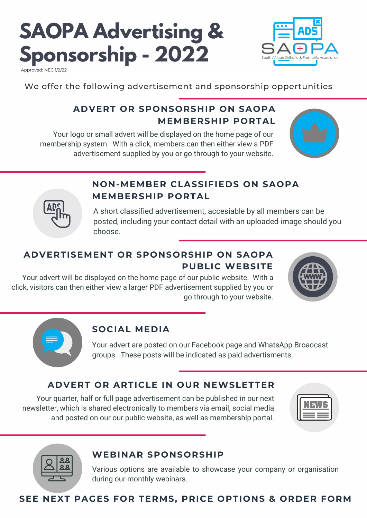# **SAOPA Advertising & Sponsorship - 2022**



Approved: NEC 1/2/22

We offer the following advertisement and sponsorship oppertunities

# **ADVERT OR SPONSORSHIP ON SAOPA MEMBERSHIP PORTAL**

Your logo or small advert will be displayed on the home page of our membership system. With a click, members can then either view a PDF advertisement supplied by you or go through to your website.





## **NON-MEMBER CLASSIFIEDS ON SAOPA MEMBERSHIP PORTAL**

A short classified advertisement, accesiable by all members can be posted, including your contact detail with an uploaded image should you choose.

# **ADVERTISEMENT OR SPONSORSHIP ON SAOPA PUBLIC WEBSITE**

Your advert will be displayed on the home page of our public website. With a click, visitors can then either view a larger PDF advertisement supplied by you or go through to your website.





### **SOCIAL MEDIA**

Your advert are posted on our Facebook page and WhatsApp Broadcast groups. These posts will be indicated as paid advertisments.

## **ADVERT OR ARTICLE IN OUR NEWSLETTER**

Your quarter, half or full page advertisement can be published in our next newsletter, which is shared electronically to members via email, social media and posted on our our public website, as well as membership portal.





#### **WEBINAR SPONSORSHIP**

Various options are available to showcase your company or organisation during our monthly webinars.

## **SEE NEXT PAGES FOR TERMS, PRICE OPTIONS & ORDER FORM**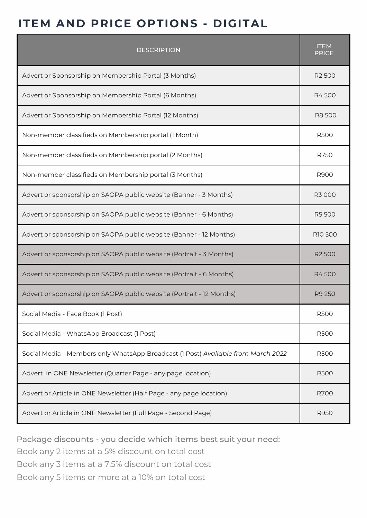# **ITEM AND PRICE OPTIONS - DIGITAL**

| <b>DESCRIPTION</b>                                                                |                    |  |
|-----------------------------------------------------------------------------------|--------------------|--|
| Advert or Sponsorship on Membership Portal (3 Months)                             | R <sub>2</sub> 500 |  |
| Advert or Sponsorship on Membership Portal (6 Months)                             | R4500              |  |
| Advert or Sponsorship on Membership Portal (12 Months)                            | R8 500             |  |
| Non-member classifieds on Membership portal (1 Month)                             | <b>R500</b>        |  |
| Non-member classifieds on Membership portal (2 Months)                            | R750               |  |
| Non-member classifieds on Membership portal (3 Months)                            | R900               |  |
| Advert or sponsorship on SAOPA public website (Banner - 3 Months)                 | R3 000             |  |
| Advert or sponsorship on SAOPA public website (Banner - 6 Months)                 | <b>R5500</b>       |  |
| Advert or sponsorship on SAOPA public website (Banner - 12 Months)                |                    |  |
| Advert or sponsorship on SAOPA public website (Portrait - 3 Months)               | R <sub>2</sub> 500 |  |
| Advert or sponsorship on SAOPA public website (Portrait - 6 Months)               | R4500              |  |
| Advert or sponsorship on SAOPA public website (Portrait - 12 Months)              | R9 250             |  |
| Social Media - Face Book (1 Post)                                                 | <b>R500</b>        |  |
| Social Media - WhatsApp Broadcast (1 Post)                                        | <b>R500</b>        |  |
| Social Media - Members only WhatsApp Broadcast (1 Post) Available from March 2022 | <b>R500</b>        |  |
| Advert in ONE Newsletter (Quarter Page - any page location)                       | <b>R500</b>        |  |
| Advert or Article in ONE Newsletter (Half Page - any page location)               | <b>R700</b>        |  |
| Advert or Article in ONE Newsletter (Full Page - Second Page)                     | R950               |  |

Package discounts - you decide which items best suit your need:

Book any 2 items at a 5% discount on total cost

Book any 3 items at a 7.5% discount on total cost

Book any 5 items or more at a 10% on total cost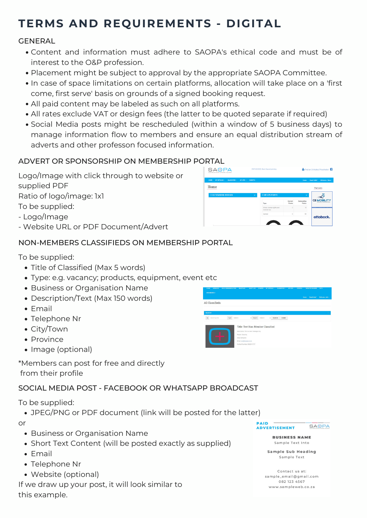# **TERMS AND REQUIREMENTS - DIGITAL**

#### GENERAL

- Content and information must adhere to SAOPA's ethical code and must be of interest to the O&P profession.
- Placement might be subject to approval by the appropriate SAOPA Committee.
- In case of space limitations on certain platforms, allocation will take place on a 'first come, first serve' basis on grounds of a signed booking request.
- All paid content may be labeled as such on all platforms.
- All rates exclude VAT or design fees (the latter to be quoted separate if required)
- Social Media posts might be rescheduled (within awindow of 5 business days) to manage information flow to members and ensure an equal distribution stream of adverts and other professon focused information.

SAOPA

Home

#### ADVERT OR SPONSORSHIP ON MEMBERSHIP PORTAL

Logo/Image with click through to website or supplied PDF Ratio of logo/image: 1x1 To be supplied:

- Logo/Image

- Website URL or PDF Document/Advert

#### NON-MEMBERS CLASSIFIEDS ON MEMBERSHIP PORTAL

To be supplied:

- Title of Classified (Max 5 words)
- Type: e.g. vacancy; products, equipment, event etc
- Business or Organisation Name
- Description/Text (Max 150 words)
- Email
- Telephone Nr
- City/Town
- Province
- Image (optional)

\*Members can post for free and directly from their profile

#### SOCIAL MEDIA POST - FACEBOOK OR WHATSAPP BROADCAST

To be supplied:

JPEG/PNG or PDF document (link will be posted for the latter)

or

- Business or Organisation Name
- Short Text Content (will be posted exactly as supplied)
- Email
- Telephone Nr
- Website (optional)

If we draw up your post, it will look similar to this example.

**SA**<sub>E</sub>PA **ADVERTISEMENT** 

**BUSINESS NAME** Sample Text Into

Sample Sub Heading Sample Text

Contact us at: sample\_email@gmail.com 082 123 4567 www.sampleweb.co.za



**PAID** 

Eind an Orthotist/Prosthetic

CE MOBILITY

ottobock

۱ń.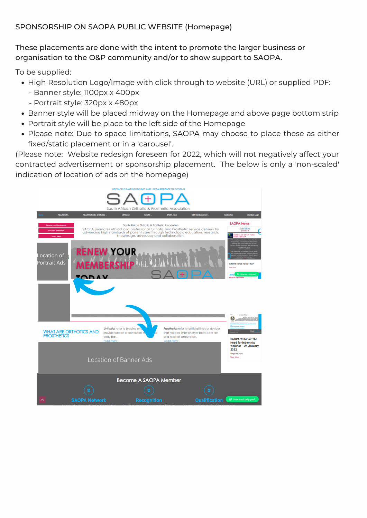#### SPONSORSHIP ON SAOPA PUBLIC WEBSITE (Homepage)

#### These placements are done with the intent to promote the larger business or organisation to the O&P community and/or to show support to SAOPA.

To be supplied:

- High Resolution Logo/Image with click through to website (URL) or supplied PDF:
	- Banner style: 1100px x 400px
	- Portrait style: 320px x 480px
- Banner style will be placed midway on the Homepage and above page bottom strip
- Portrait style will be place to the left side of the Homepage
- Please note: Due to space limitations, SAOPA may choose to place these as either fixed/static placement or in a 'carousel'.

(Please note: Website redesign foreseen for 2022, which will not negatively affect your contracted advertisement or sponsorship placement. The below is only a 'non-scaled' indication of location of ads on the homepage)

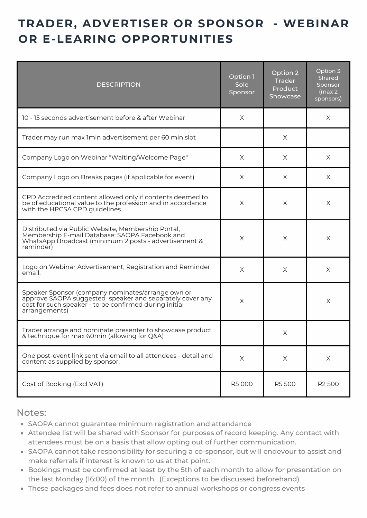# **TRADER, ADVERTISER OR SPONSOR - WEBINAR OR E-LEARING OPPORTUNITIES**

| <b>DESCRIPTION</b>                                                                                                                                                                       | Option 1<br>Sole<br>Sponsor | Option <sub>2</sub><br><b>Trader</b><br><b>Product</b><br>Showcase | Option 3<br>Shared<br>Sponsor<br>(max 2)<br>sponsors) |
|------------------------------------------------------------------------------------------------------------------------------------------------------------------------------------------|-----------------------------|--------------------------------------------------------------------|-------------------------------------------------------|
| 10 - 15 seconds advertisement before & after Webinar                                                                                                                                     | X                           |                                                                    | X                                                     |
| Trader may run max 1min advertisement per 60 min slot                                                                                                                                    |                             | X                                                                  |                                                       |
| Company Logo on Webinar "Waiting/Welcome Page"                                                                                                                                           | X                           | X                                                                  | $\times$                                              |
| Company Logo on Breaks pages (if applicable for event)                                                                                                                                   | X                           | X                                                                  | X                                                     |
| CPD Accredited content allowed only if contents deemed to<br>be of educational value to the profession and in accordance<br>with the HPCSA CPD guidelines                                | X                           | X                                                                  | X                                                     |
| Distributed via Public Website, Membership Portal,<br>Membership E-mail Database; SAOPA Facebook and<br>WhatsApp Broadcast (minimum 2 posts - advertisement &<br>reminder)               | X                           | X                                                                  | $\times$                                              |
| Logo on Webinar Advertisement, Registration and Reminder<br>email.                                                                                                                       | X                           | Χ                                                                  | X                                                     |
| Speaker Sponsor (company nominates/arrange own or<br>approve SAOPA suggested speaker and separately cover any<br>cost for such speaker - to be confirmed during initial<br>arrangements) | X                           |                                                                    | X                                                     |
| Trader arrange and nominate presenter to showcase product<br>& technique for max 60min (allowing for Q&A)                                                                                |                             | X                                                                  |                                                       |
| One post-event link sent via email to all attendees - detail and<br>content as supplied by sponsor.                                                                                      | X                           | Χ                                                                  | X                                                     |
| Cost of Booking (Excl VAT)                                                                                                                                                               | R5 000                      | R5 500                                                             | R <sub>2500</sub>                                     |

Notes:

- SAOPA cannot guarantee minimum registration and attendance
- Attendee list will be shared with Sponsor for purposes of record keeping. Any contact with attendees must be on a basis that allow opting out of further communication.
- SAOPA cannot take responsibility for securing a co-sponsor, but will endevour to assist and make referrals if interest is known to us at that point.
- Bookings must be confirmed at least by the 5th of each month to allow for presentation on the last Monday (16:00) of the month. (Exceptions to be discussed beforehand)
- These packages and fees does not refer to annual workshops or congress events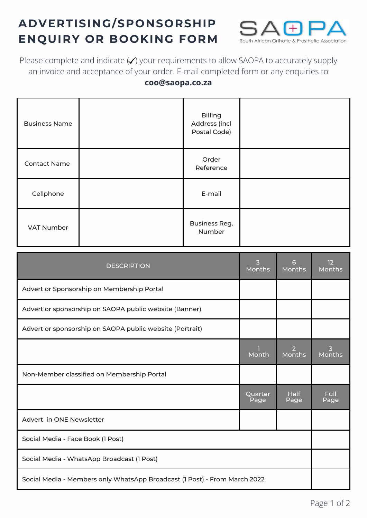# **ADVERTISING/SPONSORSHIP ENQUIRY OR BOOKING FORM**



Please complete and indicate  $\blacktriangledown$  your requirements to allow SAOPA to accurately supply an invoice and acceptance of your order. E-mail completed form or any enquiries to

#### **coo@saopa.co.za**

| <b>Business Name</b> | <b>Billing</b><br>Address (incl<br>Postal Code) |  |
|----------------------|-------------------------------------------------|--|
| <b>Contact Name</b>  | Order<br>Reference                              |  |
| Cellphone            | E-mail                                          |  |
| <b>VAT Number</b>    | <b>Business Reg.</b><br>Number                  |  |

| <b>DESCRIPTION</b>                                                        | 3<br><b>Months</b> | 6<br>Months         | 12<br><b>Months</b> |
|---------------------------------------------------------------------------|--------------------|---------------------|---------------------|
| Advert or Sponsorship on Membership Portal                                |                    |                     |                     |
| Advert or sponsorship on SAOPA public website (Banner)                    |                    |                     |                     |
| Advert or sponsorship on SAOPA public website (Portrait)                  |                    |                     |                     |
|                                                                           | Month              | 2<br>Months         | 3<br>Months         |
| Non-Member classified on Membership Portal                                |                    |                     |                     |
|                                                                           | Quarter<br>Page    | <b>Half</b><br>Page | <b>Full</b><br>Page |
| Advert in ONE Newsletter                                                  |                    |                     |                     |
| Social Media - Face Book (1 Post)                                         |                    |                     |                     |
| Social Media - WhatsApp Broadcast (1 Post)                                |                    |                     |                     |
| Social Media - Members only WhatsApp Broadcast (1 Post) - From March 2022 |                    |                     |                     |